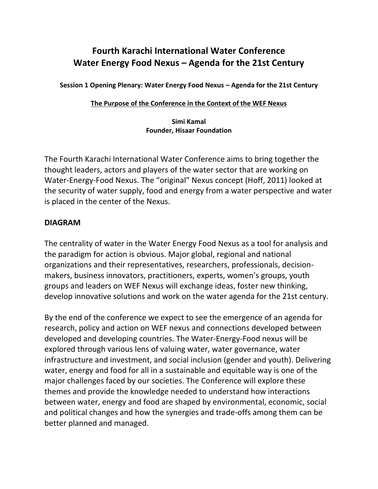# **Fourth Karachi International Water Conference Water Energy Food Nexus – Agenda for the 21st Century**

**Session 1 Opening Plenary: Water Energy Food Nexus – Agenda for the 21st Century**

#### **The Purpose of the Conference in the Context of the WEF Nexus**

#### **Simi Kamal Founder, Hisaar Foundation**

The Fourth Karachi International Water Conference aims to bring together the thought leaders, actors and players of the water sector that are working on Water-Energy-Food Nexus. The "original" Nexus concept (Hoff, 2011) looked at the security of water supply, food and energy from a water perspective and water is placed in the center of the Nexus.

### **DIAGRAM**

The centrality of water in the Water Energy Food Nexus as a tool for analysis and the paradigm for action is obvious. Major global, regional and national organizations and their representatives, researchers, professionals, decisionmakers, business innovators, practitioners, experts, women's groups, youth groups and leaders on WEF Nexus will exchange ideas, foster new thinking, develop innovative solutions and work on the water agenda for the 21st century.

By the end of the conference we expect to see the emergence of an agenda for research, policy and action on WEF nexus and connections developed between developed and developing countries. The Water-Energy-Food nexus will be explored through various lens of valuing water, water governance, water infrastructure and investment, and social inclusion (gender and youth). Delivering water, energy and food for all in a sustainable and equitable way is one of the major challenges faced by our societies. The Conference will explore these themes and provide the knowledge needed to understand how interactions between water, energy and food are shaped by environmental, economic, social and political changes and how the synergies and trade-offs among them can be better planned and managed.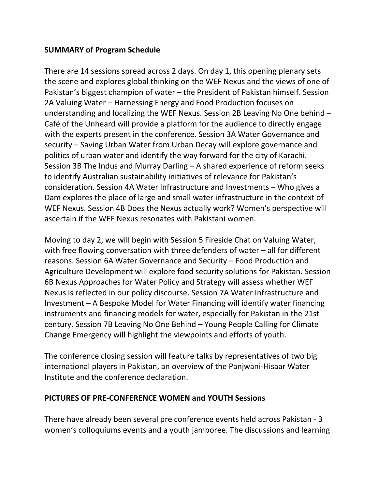## **SUMMARY of Program Schedule**

There are 14 sessions spread across 2 days. On day 1, this opening plenary sets the scene and explores global thinking on the WEF Nexus and the views of one of Pakistan's biggest champion of water – the President of Pakistan himself. Session 2A Valuing Water – Harnessing Energy and Food Production focuses on understanding and localizing the WEF Nexus. Session 2B Leaving No One behind – Café of the Unheard will provide a platform for the audience to directly engage with the experts present in the conference. Session 3A Water Governance and security – Saving Urban Water from Urban Decay will explore governance and politics of urban water and identify the way forward for the city of Karachi. Session 3B The Indus and Murray Darling – A shared experience of reform seeks to identify Australian sustainability initiatives of relevance for Pakistan's consideration. Session 4A Water Infrastructure and Investments – Who gives a Dam explores the place of large and small water infrastructure in the context of WEF Nexus. Session 4B Does the Nexus actually work? Women's perspective will ascertain if the WEF Nexus resonates with Pakistani women.

Moving to day 2, we will begin with Session 5 Fireside Chat on Valuing Water, with free flowing conversation with three defenders of water – all for different reasons. Session 6A Water Governance and Security – Food Production and Agriculture Development will explore food security solutions for Pakistan. Session 6B Nexus Approaches for Water Policy and Strategy will assess whether WEF Nexus is reflected in our policy discourse. Session 7A Water Infrastructure and Investment – A Bespoke Model for Water Financing will identify water financing instruments and financing models for water, especially for Pakistan in the 21st century. Session 7B Leaving No One Behind – Young People Calling for Climate Change Emergency will highlight the viewpoints and efforts of youth.

The conference closing session will feature talks by representatives of two big international players in Pakistan, an overview of the Panjwani-Hisaar Water Institute and the conference declaration.

### **PICTURES OF PRE-CONFERENCE WOMEN and YOUTH Sessions**

There have already been several pre conference events held across Pakistan - 3 women's colloquiums events and a youth jamboree. The discussions and learning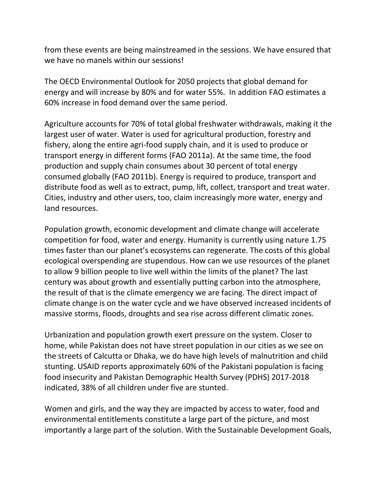from these events are being mainstreamed in the sessions. We have ensured that we have no manels within our sessions!

The OECD Environmental Outlook for 2050 projects that global demand for energy and will increase by 80% and for water 55%. In addition FAO estimates a 60% increase in food demand over the same period.

Agriculture accounts for 70% of total global freshwater withdrawals, making it the largest user of water. Water is used for agricultural production, forestry and fishery, along the entire agri-food supply chain, and it is used to produce or transport energy in different forms (FAO 2011a). At the same time, the food production and supply chain consumes about 30 percent of total energy consumed globally (FAO 2011b). Energy is required to produce, transport and distribute food as well as to extract, pump, lift, collect, transport and treat water. Cities, industry and other users, too, claim increasingly more water, energy and land resources.

Population growth, economic development and climate change will accelerate competition for food, water and energy. Humanity is currently using nature 1.75 times faster than our planet's ecosystems can regenerate. The costs of this global ecological overspending are stupendous. How can we use resources of the planet to allow 9 billion people to live well within the limits of the planet? The last century was about growth and essentially putting carbon into the atmosphere, the result of that is the climate emergency we are facing. The direct impact of climate change is on the water cycle and we have observed increased incidents of massive storms, floods, droughts and sea rise across different climatic zones.

Urbanization and population growth exert pressure on the system. Closer to home, while Pakistan does not have street population in our cities as we see on the streets of Calcutta or Dhaka, we do have high levels of malnutrition and child stunting. USAID reports approximately 60% of the Pakistani population is facing food insecurity and Pakistan Demographic Health Survey (PDHS) 2017-2018 indicated, 38% of all children under five are stunted.

Women and girls, and the way they are impacted by access to water, food and environmental entitlements constitute a large part of the picture, and most importantly a large part of the solution. With the Sustainable Development Goals,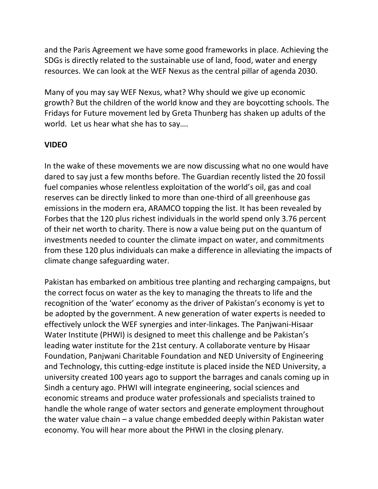and the Paris Agreement we have some good frameworks in place. Achieving the SDGs is directly related to the sustainable use of land, food, water and energy resources. We can look at the WEF Nexus as the central pillar of agenda 2030.

Many of you may say WEF Nexus, what? Why should we give up economic growth? But the children of the world know and they are boycotting schools. The Fridays for Future movement led by Greta Thunberg has shaken up adults of the world. Let us hear what she has to say….

## **VIDEO**

In the wake of these movements we are now discussing what no one would have dared to say just a few months before. The Guardian recently listed the 20 fossil fuel companies whose relentless exploitation of the world's oil, gas and coal reserves can be directly linked to more than one-third of all greenhouse gas emissions in the modern era, ARAMCO topping the list. It has been revealed by Forbes that the 120 plus richest individuals in the world spend only 3.76 percent of their net worth to charity. There is now a value being put on the quantum of investments needed to counter the climate impact on water, and commitments from these 120 plus individuals can make a difference in alleviating the impacts of climate change safeguarding water.

Pakistan has embarked on ambitious tree planting and recharging campaigns, but the correct focus on water as the key to managing the threats to life and the recognition of the 'water' economy as the driver of Pakistan's economy is yet to be adopted by the government. A new generation of water experts is needed to effectively unlock the WEF synergies and inter-linkages. The Panjwani-Hisaar Water Institute (PHWI) is designed to meet this challenge and be Pakistan's leading water institute for the 21st century. A collaborate venture by Hisaar Foundation, Panjwani Charitable Foundation and NED University of Engineering and Technology, this cutting-edge institute is placed inside the NED University, a university created 100 years ago to support the barrages and canals coming up in Sindh a century ago. PHWI will integrate engineering, social sciences and economic streams and produce water professionals and specialists trained to handle the whole range of water sectors and generate employment throughout the water value chain – a value change embedded deeply within Pakistan water economy. You will hear more about the PHWI in the closing plenary.